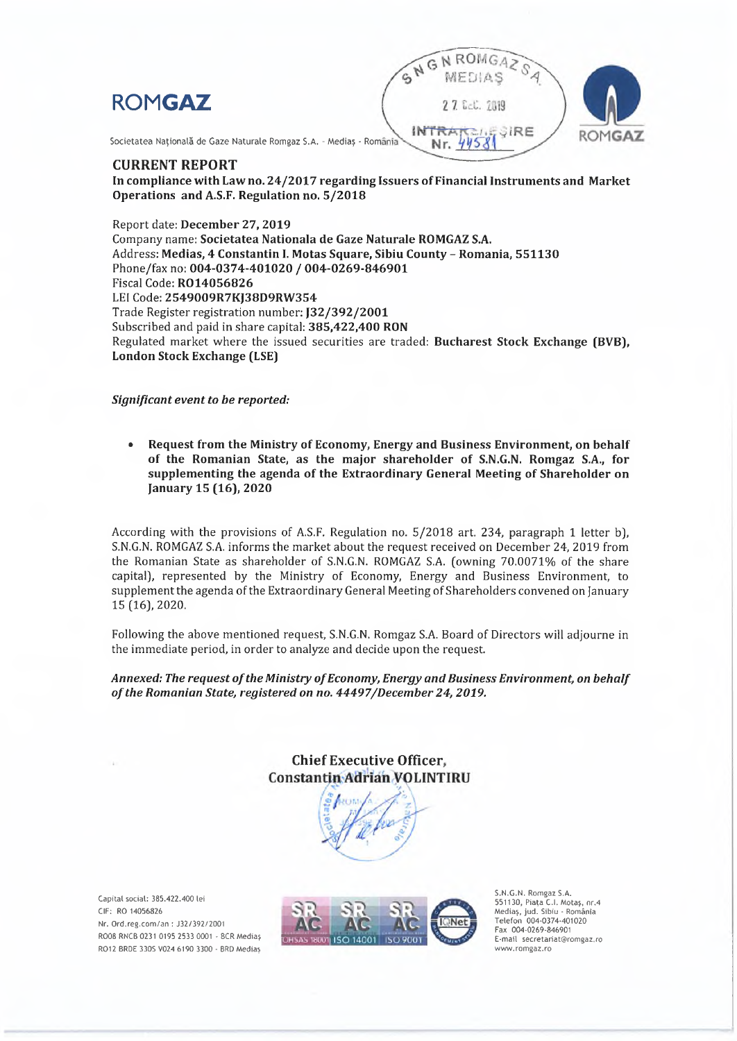



Societatea Națională de Gaze Naturale Romgaz S.A. - Mediaș - România

#### **CURRENT REPORT**

In compliance with Law no. 24/2017 regarding Issuers of Financial Instruments and Market Operations and A.S.F. Regulation no. 5/2018

Report date: December 27, 2019 Company name: Societatea Nationala de Gaze Naturale ROMGAZ S.A. Address: Medias, 4 Constantin I, Motas Square, Sibiu County - Romania, 551130 Phone/fax no: 004-0374-401020 / 004-0269-846901 Fiscal Code: R014056826 LEI Code: 2549009R7KJ38D9RW354 Trade Register registration number: [32/392/2001 Subscribed and paid in share capital: 385.422.400 RON Regulated market where the issued securities are traded: Bucharest Stock Exchange (BVB), **London Stock Exchange (LSE)** 

Significant event to be reported:

Request from the Ministry of Economy, Energy and Business Environment, on behalf of the Romanian State, as the major shareholder of S.N.G.N. Romgaz S.A., for supplementing the agenda of the Extraordinary General Meeting of Shareholder on January 15 (16), 2020

According with the provisions of A.S.F. Regulation no. 5/2018 art. 234, paragraph 1 letter b), S.N.G.N. ROMGAZ S.A. informs the market about the request received on December 24, 2019 from the Romanian State as shareholder of S.N.G.N. ROMGAZ S.A. (owning 70.0071% of the share capital), represented by the Ministry of Economy, Energy and Business Environment, to supplement the agenda of the Extraordinary General Meeting of Shareholders convened on January 15 (16), 2020.

Following the above mentioned request, S.N.G.N. Romgaz S.A. Board of Directors will adjourne in the immediate period, in order to analyze and decide upon the request.

#### Annexed: The request of the Ministry of Economy, Energy and Business Environment, on behalf of the Romanian State, registered on no. 44497/December 24, 2019.

**Chief Executive Officer. Constantin Adrian VOLINTIRU** 

Capital social: 385.422.400 lei CIF: RO 14056826 Nr. Ord.reg.com/an: J32/392/2001 RO08 RNCB 0231 0195 2533 0001 - BCR Mediaș RO12 BRDE 330S V024 6190 3300 - BRD Medias



S.N.G.N. Romgaz S.A. 551130, Piața C.I. Motaș, nr.4 Mediaș, jud. Sibiu - România<br>Telefon 004-0374-401020 Fax 004-0269-846901 E-mail secretariat@romgaz.ro www.romgaz.ro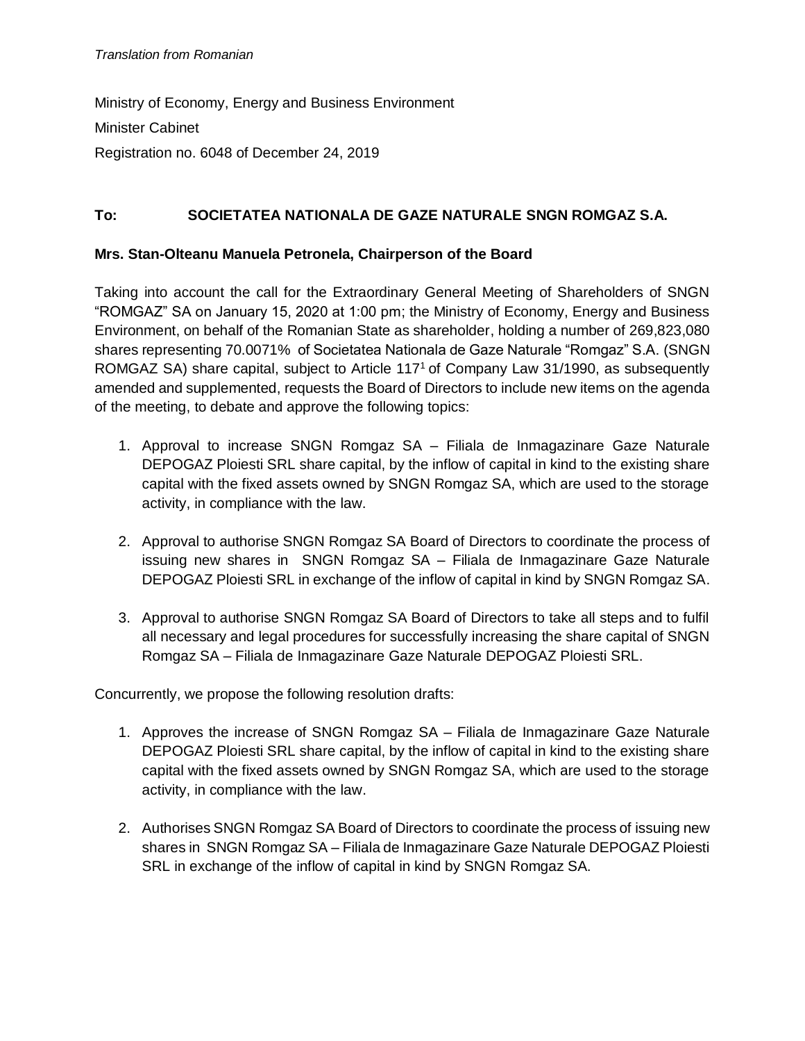Ministry of Economy, Energy and Business Environment Minister Cabinet Registration no. 6048 of December 24, 2019

# **To: SOCIETATEA NATIONALA DE GAZE NATURALE SNGN ROMGAZ S.A.**

### **Mrs. Stan-Olteanu Manuela Petronela, Chairperson of the Board**

Taking into account the call for the Extraordinary General Meeting of Shareholders of SNGN "ROMGAZ" SA on January 15, 2020 at 1:00 pm; the Ministry of Economy, Energy and Business Environment, on behalf of the Romanian State as shareholder, holding a number of 269,823,080 shares representing 70.0071% of Societatea Nationala de Gaze Naturale "Romgaz" S.A. (SNGN ROMGAZ SA) share capital, subject to Article 117<sup>1</sup> of Company Law 31/1990, as subsequently amended and supplemented, requests the Board of Directors to include new items on the agenda of the meeting, to debate and approve the following topics:

- 1. Approval to increase SNGN Romgaz SA Filiala de Inmagazinare Gaze Naturale DEPOGAZ Ploiesti SRL share capital, by the inflow of capital in kind to the existing share capital with the fixed assets owned by SNGN Romgaz SA, which are used to the storage activity, in compliance with the law.
- 2. Approval to authorise SNGN Romgaz SA Board of Directors to coordinate the process of issuing new shares in SNGN Romgaz SA – Filiala de Inmagazinare Gaze Naturale DEPOGAZ Ploiesti SRL in exchange of the inflow of capital in kind by SNGN Romgaz SA.
- 3. Approval to authorise SNGN Romgaz SA Board of Directors to take all steps and to fulfil all necessary and legal procedures for successfully increasing the share capital of SNGN Romgaz SA – Filiala de Inmagazinare Gaze Naturale DEPOGAZ Ploiesti SRL.

Concurrently, we propose the following resolution drafts:

- 1. Approves the increase of SNGN Romgaz SA Filiala de Inmagazinare Gaze Naturale DEPOGAZ Ploiesti SRL share capital, by the inflow of capital in kind to the existing share capital with the fixed assets owned by SNGN Romgaz SA, which are used to the storage activity, in compliance with the law.
- 2. Authorises SNGN Romgaz SA Board of Directors to coordinate the process of issuing new shares in SNGN Romgaz SA – Filiala de Inmagazinare Gaze Naturale DEPOGAZ Ploiesti SRL in exchange of the inflow of capital in kind by SNGN Romgaz SA.